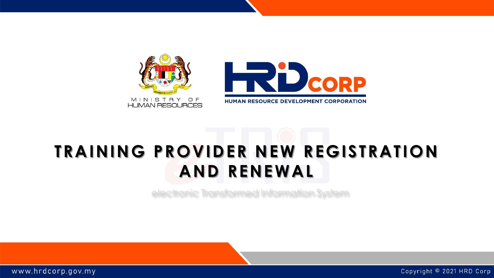

# **TRAINING PROVIDER NEW REGISTRATION AND RENEWAL**

electronic Transformed Information System

www.hrdcorp.gov.my

Copyright © 2021 HRD Corp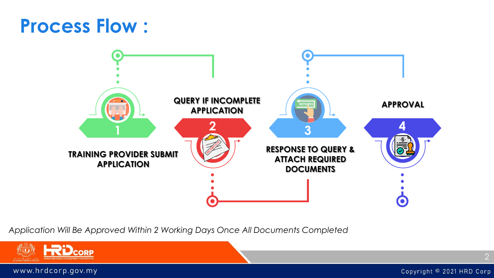# **Process Flow :**



*Application Will Be Approved Within 2 Working Days Once All Documents Completed*

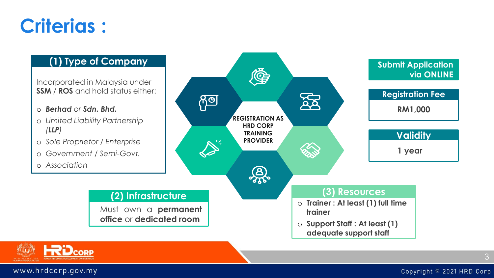# **Criterias :**

#### **(1) Type of Company**

Incorporated in Malaysia under **SSM** / **ROS** and hold status either:

- o *Berhad or Sdn. Bhd.*
- o *Limited Liability Partnership (LLP)*
- o *Sole Proprietor / Enterprise*
- o *Government / Semi-Govt.*
- o *Association*





www.hrdcorp.gov.my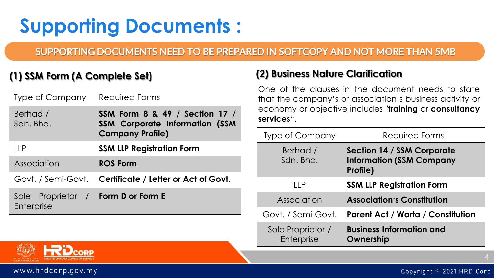# **Supporting Documents :**

## SUPPORTING DOCUMENTS NEED TO BE PREPARED IN SOFTCOPY AND NOT MORE THAN 5MB

## **(1) SSM Form (A Complete Set)**

| <b>Type of Company</b>        | Required Forms                                                                                     |
|-------------------------------|----------------------------------------------------------------------------------------------------|
| Berhad /<br>Sdn. Bhd.         | SSM Form 8 & 49 / Section 17 /<br><b>SSM Corporate Information (SSM</b><br><b>Company Profile)</b> |
| 11 P                          | <b>SSM LLP Registration Form</b>                                                                   |
| Association                   | <b>ROS Form</b>                                                                                    |
|                               | Govt. / Semi-Govt. Certificate / Letter or Act of Govt.                                            |
| Sole Proprietor<br>Enterprise | / Form D or Form E                                                                                 |

## **(2) Business Nature Clarification**

One of the clauses in the document needs to state that the company's or association's business activity or economy or objective includes "**training** or **consultancy services**".

| <b>Type of Company</b>          | Required Forms                                                            |
|---------------------------------|---------------------------------------------------------------------------|
| Berhad /<br>Sdn. Bhd.           | Section 14 / SSM Corporate<br><b>Information (SSM Company</b><br>Profile) |
| I I P                           | <b>SSM LLP Registration Form</b>                                          |
| Association                     | <b>Association's Constitution</b>                                         |
| Govt. / Semi-Govt.              | <b>Parent Act / Warta / Constitution</b>                                  |
| Sole Proprietor /<br>Enterprise | <b>Business Information and</b><br>Ownership                              |



www.hrdcorp.gov.my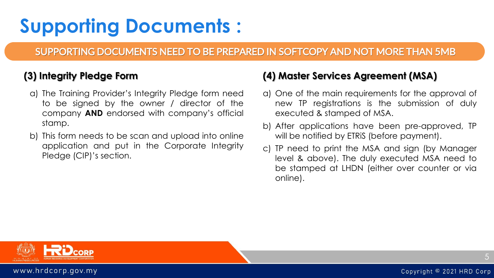# **Supporting Documents :**

## SUPPORTING DOCUMENTS NEED TO BE PREPARED IN SOFTCOPY AND NOT MORE THAN 5MB

## **(3) Integrity Pledge Form**

- a) The Training Provider's Integrity Pledge form need to be signed by the owner / director of the company **AND** endorsed with company's official stamp.
- b) This form needs to be scan and upload into online application and put in the Corporate Integrity Pledge (CIP)'s section.

## **(4) Master Services Agreement (MSA)**

- a) One of the main requirements for the approval of new TP registrations is the submission of duly executed & stamped of MSA.
- b) After applications have been pre-approved, TP will be notified by ETRiS (before payment).
- c) TP need to print the MSA and sign (by Manager level & above). The duly executed MSA need to be stamped at LHDN (either over counter or via online).



5